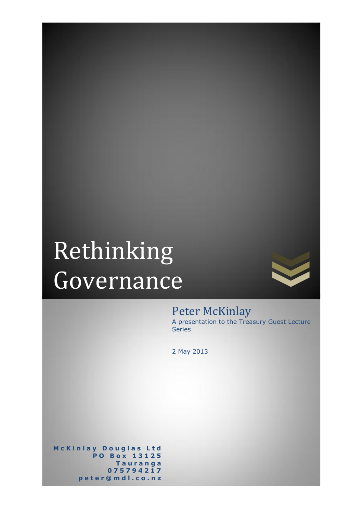# Rethinking Governance



# Peter McKinlay

A presentation to the Treasury Guest Lecture Series

2 May 2013

**M c K i n l a y D o u g l a s L t d P O B o x 1 3 1 2 5 T a u r a n g a 0 7 5 7 9 4 2 1 7 p e t e r @ m d l . c o . n z**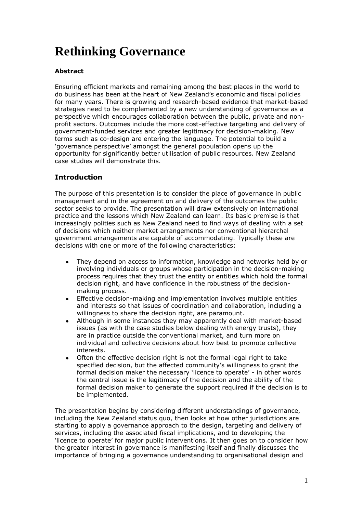# **Rethinking Governance**

# **Abstract**

Ensuring efficient markets and remaining among the best places in the world to do business has been at the heart of New Zealand"s economic and fiscal policies for many years. There is growing and research-based evidence that market-based strategies need to be complemented by a new understanding of governance as a perspective which encourages collaboration between the public, private and nonprofit sectors. Outcomes include the more cost-effective targeting and delivery of government-funded services and greater legitimacy for decision-making. New terms such as co-design are entering the language. The potential to build a "governance perspective" amongst the general population opens up the opportunity for significantly better utilisation of public resources. New Zealand case studies will demonstrate this.

# **Introduction**

The purpose of this presentation is to consider the place of governance in public management and in the agreement on and delivery of the outcomes the public sector seeks to provide. The presentation will draw extensively on international practice and the lessons which New Zealand can learn. Its basic premise is that increasingly polities such as New Zealand need to find ways of dealing with a set of decisions which neither market arrangements nor conventional hierarchal government arrangements are capable of accommodating. Typically these are decisions with one or more of the following characteristics:

- They depend on access to information, knowledge and networks held by or involving individuals or groups whose participation in the decision-making process requires that they trust the entity or entities which hold the formal decision right, and have confidence in the robustness of the decisionmaking process.
- Effective decision-making and implementation involves multiple entities  $\bullet$ and interests so that issues of coordination and collaboration, including a willingness to share the decision right, are paramount.
- Although in some instances they may apparently deal with market-based issues (as with the case studies below dealing with energy trusts), they are in practice outside the conventional market, and turn more on individual and collective decisions about how best to promote collective interests.
- Often the effective decision right is not the formal legal right to take specified decision, but the affected community's willingness to grant the formal decision maker the necessary 'licence to operate' - in other words the central issue is the legitimacy of the decision and the ability of the formal decision maker to generate the support required if the decision is to be implemented.

The presentation begins by considering different understandings of governance, including the New Zealand status quo, then looks at how other jurisdictions are starting to apply a governance approach to the design, targeting and delivery of services, including the associated fiscal implications, and to developing the "licence to operate" for major public interventions. It then goes on to consider how the greater interest in governance is manifesting itself and finally discusses the importance of bringing a governance understanding to organisational design and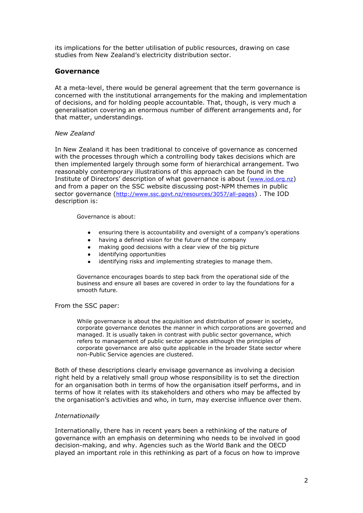its implications for the better utilisation of public resources, drawing on case studies from New Zealand"s electricity distribution sector.

#### **Governance**

At a meta-level, there would be general agreement that the term governance is concerned with the institutional arrangements for the making and implementation of decisions, and for holding people accountable. That, though, is very much a generalisation covering an enormous number of different arrangements and, for that matter, understandings.

#### *New Zealand*

In New Zealand it has been traditional to conceive of governance as concerned with the processes through which a controlling body takes decisions which are then implemented largely through some form of hierarchical arrangement. Two reasonably contemporary illustrations of this approach can be found in the Institute of Directors" description of what governance is about ([www.iod.org.nz](http://www.iod.org.nz/)) and from a paper on the SSC website discussing post-NPM themes in public sector governance (<http://www.ssc.govt.nz/resources/3057/all-pages>) . The IOD description is:

Governance is about:

- ensuring there is accountability and oversight of a company"s operations
- having a defined vision for the future of the company
- making good decisions with a clear view of the big picture  $\bullet$
- identifying opportunities
- identifying risks and implementing strategies to manage them.

Governance encourages boards to step back from the operational side of the business and ensure all bases are covered in order to lay the foundations for a smooth future.

#### From the SSC paper:

While governance is about the acquisition and distribution of power in society, corporate governance denotes the manner in which corporations are governed and managed. It is usually taken in contrast with public sector governance, which refers to management of public sector agencies although the principles of corporate governance are also quite applicable in the broader State sector where non-Public Service agencies are clustered.

Both of these descriptions clearly envisage governance as involving a decision right held by a relatively small group whose responsibility is to set the direction for an organisation both in terms of how the organisation itself performs, and in terms of how it relates with its stakeholders and others who may be affected by the organisation"s activities and who, in turn, may exercise influence over them.

#### *Internationally*

Internationally, there has in recent years been a rethinking of the nature of governance with an emphasis on determining who needs to be involved in good decision-making, and why. Agencies such as the World Bank and the OECD played an important role in this rethinking as part of a focus on how to improve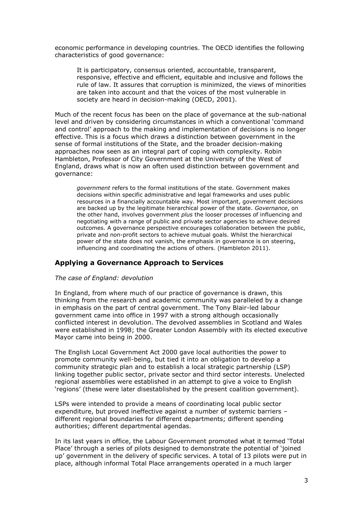economic performance in developing countries. The OECD identifies the following characteristics of good governance:

It is participatory, consensus oriented, accountable, transparent, responsive, effective and efficient, equitable and inclusive and follows the rule of law. It assures that corruption is minimized, the views of minorities are taken into account and that the voices of the most vulnerable in society are heard in decision-making (OECD, 2001).

Much of the recent focus has been on the place of governance at the sub-national level and driven by considering circumstances in which a conventional "command and control" approach to the making and implementation of decisions is no longer effective. This is a focus which draws a distinction between government in the sense of formal institutions of the State, and the broader decision-making approaches now seen as an integral part of coping with complexity. Robin Hambleton, Professor of City Government at the University of the West of England, draws what is now an often used distinction between government and governance:

*government* refers to the formal institutions of the state. Government makes decisions within specific administrative and legal frameworks and uses public resources in a financially accountable way. Most important, government decisions are backed up by the legitimate hierarchical power of the state. *Governance*, on the other hand, involves government *plus* the looser processes of influencing and negotiating with a range of public and private sector agencies to achieve desired outcomes. A governance perspective encourages collaboration between the public, private and non-profit sectors to achieve mutual goals. Whilst the hierarchical power of the state does not vanish, the emphasis in governance is on steering, influencing and coordinating the actions of others. (Hambleton 2011).

## **Applying a Governance Approach to Services**

#### *The case of England: devolution*

In England, from where much of our practice of governance is drawn, this thinking from the research and academic community was paralleled by a change in emphasis on the part of central government. The Tony Blair-led labour government came into office in 1997 with a strong although occasionally conflicted interest in devolution. The devolved assemblies in Scotland and Wales were established in 1998; the Greater London Assembly with its elected executive Mayor came into being in 2000.

The English Local Government Act 2000 gave local authorities the power to promote community well-being, but tied it into an obligation to develop a community strategic plan and to establish a local strategic partnership (LSP) linking together public sector, private sector and third sector interests. Unelected regional assemblies were established in an attempt to give a voice to English 'regions' (these were later disestablished by the present coalition government).

LSPs were intended to provide a means of coordinating local public sector expenditure, but proved ineffective against a number of systemic barriers – different regional boundaries for different departments; different spending authorities; different departmental agendas.

In its last years in office, the Labour Government promoted what it termed "Total Place" through a series of pilots designed to demonstrate the potential of "joined up" government in the delivery of specific services. A total of 13 pilots were put in place, although informal Total Place arrangements operated in a much larger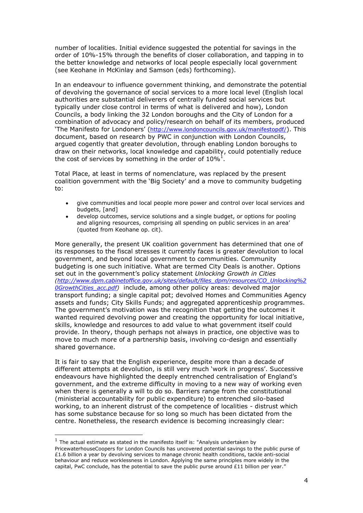number of localities. Initial evidence suggested the potential for savings in the order of 10%-15% through the benefits of closer collaboration, and tapping in to the better knowledge and networks of local people especially local government (see Keohane in McKinlay and Samson (eds) forthcoming).

In an endeavour to influence government thinking, and demonstrate the potential of devolving the governance of social services to a more local level (English local authorities are substantial deliverers of centrally funded social services but typically under close control in terms of what is delivered and how), London Councils, a body linking the 32 London boroughs and the City of London for a combination of advocacy and policy/research on behalf of its members, produced 'The Manifesto for Londoners' (<http://www.londoncouncils.gov.uk/manifestopdf/>). This document, based on research by PWC in conjunction with London Councils, argued cogently that greater devolution, through enabling London boroughs to draw on their networks, local knowledge and capability, could potentially reduce the cost of services by something in the order of  $10\%$ <sup>1</sup>.

Total Place, at least in terms of nomenclature, was replaced by the present coalition government with the "Big Society" and a move to community budgeting to:

- give communities and local people more power and control over local services and budgets, [and]
- develop outcomes, service solutions and a single budget, or options for pooling  $\bullet$ and aligning resources, comprising all spending on public services in an area' (quoted from Keohane op. cit).

More generally, the present UK coalition government has determined that one of its responses to the fiscal stresses it currently faces is greater devolution to local government, and beyond local government to communities. Community budgeting is one such initiative. What are termed City Deals is another. Options set out in the government"s policy statement *Unlocking Growth in Cities [\(http://www.dpm.cabinetoffice.gov.uk/sites/default/files\\_dpm/resources/CO\\_Unlocking%2](http://www.dpm.cabinetoffice.gov.uk/sites/default/files_dpm/resources/CO_Unlocking%20GrowthCities_acc.pdf) [0GrowthCities\\_acc.pdf\)](http://www.dpm.cabinetoffice.gov.uk/sites/default/files_dpm/resources/CO_Unlocking%20GrowthCities_acc.pdf)* include, among other policy areas: devolved major transport funding; a single capital pot; devolved Homes and Communities Agency assets and funds; City Skills Funds; and aggregated apprenticeship programmes. The government's motivation was the recognition that getting the outcomes it wanted required devolving power and creating the opportunity for local initiative, skills, knowledge and resources to add value to what government itself could provide. In theory, though perhaps not always in practice, one objective was to move to much more of a partnership basis, involving co-design and essentially shared governance.

It is fair to say that the English experience, despite more than a decade of different attempts at devolution, is still very much "work in progress". Successive endeavours have highlighted the deeply entrenched centralisation of England"s government, and the extreme difficulty in moving to a new way of working even when there is generally a will to do so. Barriers range from the constitutional (ministerial accountability for public expenditure) to entrenched silo-based working, to an inherent distrust of the competence of localities - distrust which has some substance because for so long so much has been dictated from the centre. Nonetheless, the research evidence is becoming increasingly clear:

 $<sup>1</sup>$  The actual estimate as stated in the manifesto itself is: "Analysis undertaken by</sup> PricewaterhouseCoopers for London Councils has uncovered potential savings to the public purse of £1.6 billion a year by devolving services to manage chronic health conditions, tackle anti-social behaviour and reduce worklessness in London. Applying the same principles more widely in the capital, PwC conclude, has the potential to save the public purse around  $£11$  billion per year."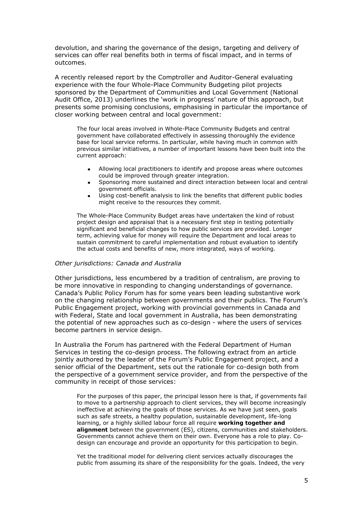devolution, and sharing the governance of the design, targeting and delivery of services can offer real benefits both in terms of fiscal impact, and in terms of outcomes.

A recently released report by the Comptroller and Auditor-General evaluating experience with the four Whole-Place Community Budgeting pilot projects sponsored by the Department of Communities and Local Government (National Audit Office, 2013) underlines the "work in progress" nature of this approach, but presents some promising conclusions, emphasising in particular the importance of closer working between central and local government:

The four local areas involved in Whole-Place Community Budgets and central government have collaborated effectively in assessing thoroughly the evidence base for local service reforms. In particular, while having much in common with previous similar initiatives, a number of important lessons have been built into the current approach:

- Allowing local practitioners to identify and propose areas where outcomes could be improved through greater integration.
- Sponsoring more sustained and direct interaction between local and central government officials.
- Using cost-benefit analysis to link the benefits that different public bodies might receive to the resources they commit.

The Whole-Place Community Budget areas have undertaken the kind of robust project design and appraisal that is a necessary first step in testing potentially significant and beneficial changes to how public services are provided. Longer term, achieving value for money will require the Department and local areas to sustain commitment to careful implementation and robust evaluation to identify the actual costs and benefits of new, more integrated, ways of working.

#### *Other jurisdictions: Canada and Australia*

Other jurisdictions, less encumbered by a tradition of centralism, are proving to be more innovative in responding to changing understandings of governance. Canada"s Public Policy Forum has for some years been leading substantive work on the changing relationship between governments and their publics. The Forum"s Public Engagement project, working with provincial governments in Canada and with Federal, State and local government in Australia, has been demonstrating the potential of new approaches such as co-design - where the users of services become partners in service design.

In Australia the Forum has partnered with the Federal Department of Human Services in testing the co-design process. The following extract from an article jointly authored by the leader of the Forum"s Public Engagement project, and a senior official of the Department, sets out the rationale for co-design both from the perspective of a government service provider, and from the perspective of the community in receipt of those services:

For the purposes of this paper, the principal lesson here is that, if governments fail to move to a partnership approach to client services, they will become increasingly ineffective at achieving the goals of those services. As we have just seen, goals such as safe streets, a healthy population, sustainable development, life-long learning, or a highly skilled labour force all require **working together and alignment** between the government (ES), citizens, communities and stakeholders. Governments cannot achieve them on their own. Everyone has a role to play. Codesign can encourage and provide an opportunity for this participation to begin.

Yet the traditional model for delivering client services actually discourages the public from assuming its share of the responsibility for the goals. Indeed, the very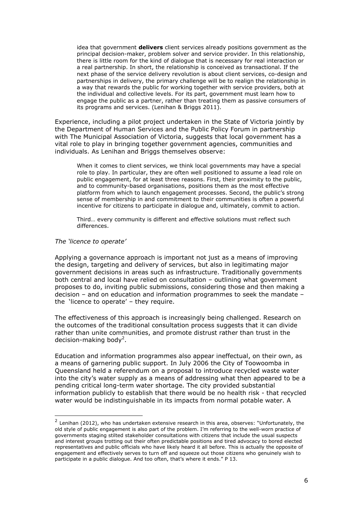idea that government **delivers** client services already positions government as the principal decision-maker, problem solver and service provider. In this relationship, there is little room for the kind of dialogue that is necessary for real interaction or a real partnership. In short, the relationship is conceived as transactional. If the next phase of the service delivery revolution is about client services, co-design and partnerships in delivery, the primary challenge will be to realign the relationship in a way that rewards the public for working together with service providers, both at the individual and collective levels. For its part, government must learn how to engage the public as a partner, rather than treating them as passive consumers of its programs and services. (Lenihan & Briggs 2011).

Experience, including a pilot project undertaken in the State of Victoria jointly by the Department of Human Services and the Public Policy Forum in partnership with The Municipal Association of Victoria, suggests that local government has a vital role to play in bringing together government agencies, communities and individuals. As Lenihan and Briggs themselves observe:

When it comes to client services, we think local governments may have a special role to play. In particular, they are often well positioned to assume a lead role on public engagement, for at least three reasons. First, their proximity to the public, and to community-based organisations, positions them as the most effective platform from which to launch engagement processes. Second, the public"s strong sense of membership in and commitment to their communities is often a powerful incentive for citizens to participate in dialogue and, ultimately, commit to action.

Third… every community is different and effective solutions must reflect such differences.

#### *The 'licence to operate'*

-

Applying a governance approach is important not just as a means of improving the design, targeting and delivery of services, but also in legitimating major government decisions in areas such as infrastructure. Traditionally governments both central and local have relied on consultation – outlining what government proposes to do, inviting public submissions, considering those and then making a decision – and on education and information programmes to seek the mandate – the 'licence to operate'  $-$  they require.

The effectiveness of this approach is increasingly being challenged. Research on the outcomes of the traditional consultation process suggests that it can divide rather than unite communities, and promote distrust rather than trust in the decision-making body<sup>2</sup>.

Education and information programmes also appear ineffectual, on their own, as a means of garnering public support. In July 2006 the City of Toowoomba in Queensland held a referendum on a proposal to introduce recycled waste water into the city"s water supply as a means of addressing what then appeared to be a pending critical long-term water shortage. The city provided substantial information publicly to establish that there would be no health risk - that recycled water would be indistinguishable in its impacts from normal potable water. A

 $2$  Lenihan (2012), who has undertaken extensive research in this area, observes: "Unfortunately, the old style of public engagement is also part of the problem. I"m referring to the well-worn practice of governments staging stilted stakeholder consultations with citizens that include the usual suspects and interest groups trotting out their often predictable positions and tired advocacy to bored elected representatives and public officials who have likely heard it all before. This is actually the opposite of engagement and effectively serves to turn off and squeeze out those citizens who genuinely wish to participate in a public dialogue. And too often, that's where it ends." P 13.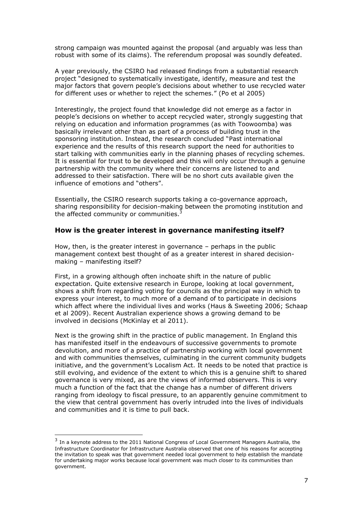strong campaign was mounted against the proposal (and arguably was less than robust with some of its claims). The referendum proposal was soundly defeated.

A year previously, the CSIRO had released findings from a substantial research project "designed to systematically investigate, identify, measure and test the major factors that govern people"s decisions about whether to use recycled water for different uses or whether to reject the schemes." (Po et al 2005)

Interestingly, the project found that knowledge did not emerge as a factor in people"s decisions on whether to accept recycled water, strongly suggesting that relying on education and information programmes (as with Toowoomba) was basically irrelevant other than as part of a process of building trust in the sponsoring institution. Instead, the research concluded "Past international experience and the results of this research support the need for authorities to start talking with communities early in the planning phases of recycling schemes. It is essential for trust to be developed and this will only occur through a genuine partnership with the community where their concerns are listened to and addressed to their satisfaction. There will be no short cuts available given the influence of emotions and "others".

Essentially, the CSIRO research supports taking a co-governance approach, sharing responsibility for decision-making between the promoting institution and the affected community or communities. $\frac{3}{2}$ 

## **How is the greater interest in governance manifesting itself?**

How, then, is the greater interest in governance – perhaps in the public management context best thought of as a greater interest in shared decisionmaking – manifesting itself?

First, in a growing although often inchoate shift in the nature of public expectation. Quite extensive research in Europe, looking at local government, shows a shift from regarding voting for councils as the principal way in which to express your interest, to much more of a demand of to participate in decisions which affect where the individual lives and works (Haus & Sweeting 2006; Schaap et al 2009). Recent Australian experience shows a growing demand to be involved in decisions (McKinlay et al 2011).

Next is the growing shift in the practice of public management. In England this has manifested itself in the endeavours of successive governments to promote devolution, and more of a practice of partnership working with local government and with communities themselves, culminating in the current community budgets initiative, and the government's Localism Act. It needs to be noted that practice is still evolving, and evidence of the extent to which this is a genuine shift to shared governance is very mixed, as are the views of informed observers. This is very much a function of the fact that the change has a number of different drivers ranging from ideology to fiscal pressure, to an apparently genuine commitment to the view that central government has overly intruded into the lives of individuals and communities and it is time to pull back.

<sup>&</sup>lt;sup>3</sup> In a keynote address to the 2011 National Congress of Local Government Managers Australia, the Infrastructure Coordinator for Infrastructure Australia observed that one of his reasons for accepting the invitation to speak was that government needed local government to help establish the mandate for undertaking major works because local government was much closer to its communities than government.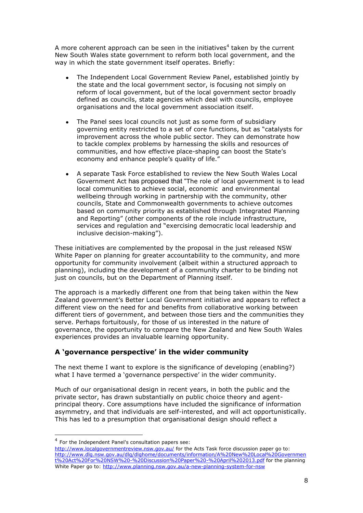A more coherent approach can be seen in the initiatives<sup>4</sup> taken by the current New South Wales state government to reform both local government, and the way in which the state government itself operates. Briefly:

- The Independent Local Government Review Panel, established jointly by the state and the local government sector, is focusing not simply on reform of local government, but of the local government sector broadly defined as councils, state agencies which deal with councils, employee organisations and the local government association itself.
- The Panel sees local councils not just as some form of subsidiary governing entity restricted to a set of core functions, but as "catalysts for improvement across the whole public sector. They can demonstrate how to tackle complex problems by harnessing the skills and resources of communities, and how effective place-shaping can boost the State"s economy and enhance people's quality of life."
- A separate Task Force established to review the New South Wales Local  $\bullet$ Government Act has proposed that "The role of local government is to lead local communities to achieve social, economic and environmental wellbeing through working in partnership with the community, other councils, State and Commonwealth governments to achieve outcomes based on community priority as established through Integrated Planning and Reporting" (other components of the role include infrastructure, services and regulation and "exercising democratic local leadership and inclusive decision-making").

These initiatives are complemented by the proposal in the just released NSW White Paper on planning for greater accountability to the community, and more opportunity for community involvement (albeit within a structured approach to planning), including the development of a community charter to be binding not just on councils, but on the Department of Planning itself.

The approach is a markedly different one from that being taken within the New Zealand government"s Better Local Government initiative and appears to reflect a different view on the need for and benefits from collaborative working between different tiers of government, and between those tiers and the communities they serve. Perhaps fortuitously, for those of us interested in the nature of governance, the opportunity to compare the New Zealand and New South Wales experiences provides an invaluable learning opportunity.

# **A 'governance perspective' in the wider community**

The next theme I want to explore is the significance of developing (enabling?) what I have termed a 'governance perspective' in the wider community.

Much of our organisational design in recent years, in both the public and the private sector, has drawn substantially on public choice theory and agentprincipal theory. Core assumptions have included the significance of information asymmetry, and that individuals are self-interested, and will act opportunistically. This has led to a presumption that organisational design should reflect a

<sup>&</sup>lt;sup>4</sup> For the Independent Panel's consultation papers see:

<http://www.localgovernmentreview.nsw.gov.au/> for the Acts Task force discussion paper go to: [http://www.dlg.nsw.gov.au/dlg/dlghome/documents/information/A%20New%20Local%20Governmen](http://www.dlg.nsw.gov.au/dlg/dlghome/documents/information/A%20New%20Local%20Government%20Act%20For%20NSW%20-%20Discussion%20Paper%20-%20April%202013.pdf) [t%20Act%20For%20NSW%20-%20Discussion%20Paper%20-%20April%202013.pdf](http://www.dlg.nsw.gov.au/dlg/dlghome/documents/information/A%20New%20Local%20Government%20Act%20For%20NSW%20-%20Discussion%20Paper%20-%20April%202013.pdf) for the planning White Paper go to:<http://www.planning.nsw.gov.au/a-new-planning-system-for-nsw>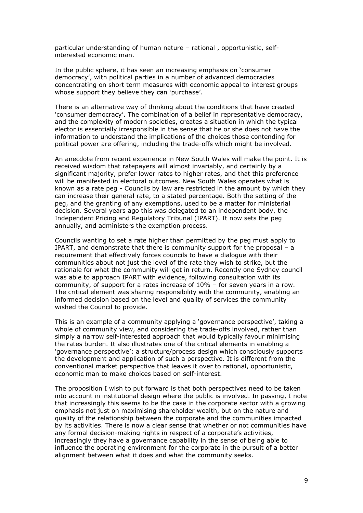particular understanding of human nature – rational , opportunistic, selfinterested economic man.

In the public sphere, it has seen an increasing emphasis on "consumer democracy", with political parties in a number of advanced democracies concentrating on short term measures with economic appeal to interest groups whose support they believe they can 'purchase'.

There is an alternative way of thinking about the conditions that have created "consumer democracy". The combination of a belief in representative democracy, and the complexity of modern societies, creates a situation in which the typical elector is essentially irresponsible in the sense that he or she does not have the information to understand the implications of the choices those contending for political power are offering, including the trade-offs which might be involved.

An anecdote from recent experience in New South Wales will make the point. It is received wisdom that ratepayers will almost invariably, and certainly by a significant majority, prefer lower rates to higher rates, and that this preference will be manifested in electoral outcomes. New South Wales operates what is known as a rate peg - Councils by law are restricted in the amount by which they can increase their general rate, to a stated percentage. Both the setting of the peg, and the granting of any exemptions, used to be a matter for ministerial decision. Several years ago this was delegated to an independent body, the Independent Pricing and Regulatory Tribunal (IPART). It now sets the peg annually, and administers the exemption process.

Councils wanting to set a rate higher than permitted by the peg must apply to IPART, and demonstrate that there is community support for the proposal – a requirement that effectively forces councils to have a dialogue with their communities about not just the level of the rate they wish to strike, but the rationale for what the community will get in return. Recently one Sydney council was able to approach IPART with evidence, following consultation with its community, of support for a rates increase of 10% – for seven years in a row. The critical element was sharing responsibility with the community, enabling an informed decision based on the level and quality of services the community wished the Council to provide.

This is an example of a community applying a "governance perspective", taking a whole of community view, and considering the trade-offs involved, rather than simply a narrow self-interested approach that would typically favour minimising the rates burden. It also illustrates one of the critical elements in enabling a "governance perspective": a structure/process design which consciously supports the development and application of such a perspective. It is different from the conventional market perspective that leaves it over to rational, opportunistic, economic man to make choices based on self-interest.

The proposition I wish to put forward is that both perspectives need to be taken into account in institutional design where the public is involved. In passing, I note that increasingly this seems to be the case in the corporate sector with a growing emphasis not just on maximising shareholder wealth, but on the nature and quality of the relationship between the corporate and the communities impacted by its activities. There is now a clear sense that whether or not communities have any formal decision-making rights in respect of a corporate's activities, increasingly they have a governance capability in the sense of being able to influence the operating environment for the corporate in the pursuit of a better alignment between what it does and what the community seeks.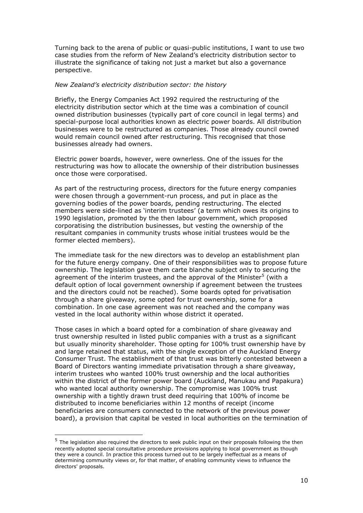Turning back to the arena of public or quasi-public institutions, I want to use two case studies from the reform of New Zealand"s electricity distribution sector to illustrate the significance of taking not just a market but also a governance perspective.

#### *New Zealand's electricity distribution sector: the history*

Briefly, the Energy Companies Act 1992 required the restructuring of the electricity distribution sector which at the time was a combination of council owned distribution businesses (typically part of core council in legal terms) and special-purpose local authorities known as electric power boards. All distribution businesses were to be restructured as companies. Those already council owned would remain council owned after restructuring. This recognised that those businesses already had owners.

Electric power boards, however, were ownerless. One of the issues for the restructuring was how to allocate the ownership of their distribution businesses once those were corporatised.

As part of the restructuring process, directors for the future energy companies were chosen through a government-run process, and put in place as the governing bodies of the power boards, pending restructuring. The elected members were side-lined as "interim trustees" (a term which owes its origins to 1990 legislation, promoted by the then labour government, which proposed corporatising the distribution businesses, but vesting the ownership of the resultant companies in community trusts whose initial trustees would be the former elected members).

The immediate task for the new directors was to develop an establishment plan for the future energy company. One of their responsibilities was to propose future ownership. The legislation gave them carte blanche subject only to securing the agreement of the interim trustees, and the approval of the Minister<sup>5</sup> (with a default option of local government ownership if agreement between the trustees and the directors could not be reached). Some boards opted for privatisation through a share giveaway, some opted for trust ownership, some for a combination. In one case agreement was not reached and the company was vested in the local authority within whose district it operated.

Those cases in which a board opted for a combination of share giveaway and trust ownership resulted in listed public companies with a trust as a significant but usually minority shareholder. Those opting for 100% trust ownership have by and large retained that status, with the single exception of the Auckland Energy Consumer Trust. The establishment of that trust was bitterly contested between a Board of Directors wanting immediate privatisation through a share giveaway, interim trustees who wanted 100% trust ownership and the local authorities within the district of the former power board (Auckland, Manukau and Papakura) who wanted local authority ownership. The compromise was 100% trust ownership with a tightly drawn trust deed requiring that 100% of income be distributed to income beneficiaries within 12 months of receipt (income beneficiaries are consumers connected to the network of the previous power board), a provision that capital be vested in local authorities on the termination of

 5 The legislation also required the directors to seek public input on their proposals following the then recently adopted special consultative procedure provisions applying to local government as though they were a council. In practice this process turned out to be largely ineffectual as a means of determining community views or, for that matter, of enabling community views to influence the directors' proposals.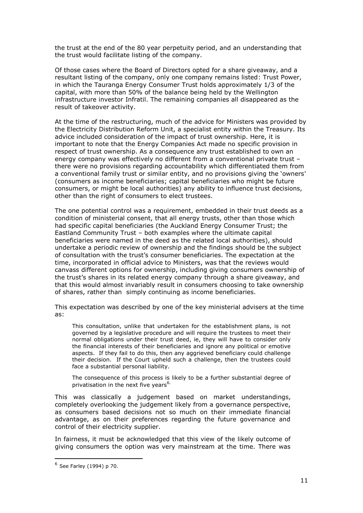the trust at the end of the 80 year perpetuity period, and an understanding that the trust would facilitate listing of the company.

Of those cases where the Board of Directors opted for a share giveaway, and a resultant listing of the company, only one company remains listed: Trust Power, in which the Tauranga Energy Consumer Trust holds approximately 1/3 of the capital, with more than 50% of the balance being held by the Wellington infrastructure investor Infratil. The remaining companies all disappeared as the result of takeover activity.

At the time of the restructuring, much of the advice for Ministers was provided by the Electricity Distribution Reform Unit, a specialist entity within the Treasury. Its advice included consideration of the impact of trust ownership. Here, it is important to note that the Energy Companies Act made no specific provision in respect of trust ownership. As a consequence any trust established to own an energy company was effectively no different from a conventional private trust – there were no provisions regarding accountability which differentiated them from a conventional family trust or similar entity, and no provisions giving the "owners" (consumers as income beneficiaries; capital beneficiaries who might be future consumers, or might be local authorities) any ability to influence trust decisions, other than the right of consumers to elect trustees.

The one potential control was a requirement, embedded in their trust deeds as a condition of ministerial consent, that all energy trusts, other than those which had specific capital beneficiaries (the Auckland Energy Consumer Trust; the Eastland Community Trust – both examples where the ultimate capital beneficiaries were named in the deed as the related local authorities), should undertake a periodic review of ownership and the findings should be the subject of consultation with the trust"s consumer beneficiaries. The expectation at the time, incorporated in official advice to Ministers, was that the reviews would canvass different options for ownership, including giving consumers ownership of the trust"s shares in its related energy company through a share giveaway, and that this would almost invariably result in consumers choosing to take ownership of shares, rather than simply continuing as income beneficiaries.

This expectation was described by one of the key ministerial advisers at the time as:

This consultation, unlike that undertaken for the establishment plans, is not governed by a legislative procedure and will require the trustees to meet their normal obligations under their trust deed, ie, they will have to consider only the financial interests of their beneficiaries and ignore any political or emotive aspects. If they fail to do this, then any aggrieved beneficiary could challenge their decision. If the Court upheld such a challenge, then the trustees could face a substantial personal liability.

The consequence of this process is likely to be a further substantial degree of privatisation in the next five years<sup>6.</sup>

This was classically a judgement based on market understandings, completely overlooking the judgement likely from a governance perspective, as consumers based decisions not so much on their immediate financial advantage, as on their preferences regarding the future governance and control of their electricity supplier.

In fairness, it must be acknowledged that this view of the likely outcome of giving consumers the option was very mainstream at the time. There was

<sup>&</sup>lt;sup>6</sup> See Farley (1994) p 70.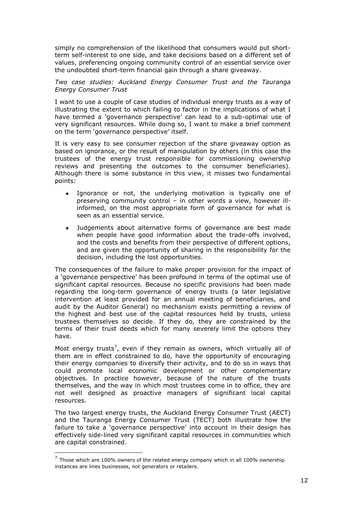simply no comprehension of the likelihood that consumers would put shortterm self-interest to one side, and take decisions based on a different set of values, preferencing ongoing community control of an essential service over the undoubted short-term financial gain through a share giveaway.

#### *Two case studies: Auckland Energy Consumer Trust and the Tauranga Energy Consumer Trust*

I want to use a couple of case studies of individual energy trusts as a way of illustrating the extent to which failing to factor in the implications of what I have termed a 'governance perspective' can lead to a sub-optimal use of very significant resources. While doing so, I want to make a brief comment on the term 'governance perspective' itself.

It is very easy to see consumer rejection of the share giveaway option as based on ignorance, or the result of manipulation by others (in this case the trustees of the energy trust responsible for commissioning ownership reviews and presenting the outcomes to the consumer beneficiaries). Although there is some substance in this view, it misses two fundamental points:

- Ignorance or not, the underlying motivation is typically one of preserving community control – in other words a view, however illinformed, on the most appropriate form of governance for what is seen as an essential service.
- Judgements about alternative forms of governance are best made when people have good information about the trade-offs involved, and the costs and benefits from their perspective of different options, and are given the opportunity of sharing in the responsibility for the decision, including the lost opportunities.

The consequences of the failure to make proper provision for the impact of a "governance perspective" has been profound in terms of the optimal use of significant capital resources. Because no specific provisions had been made regarding the long-term governance of energy trusts (a later legislative intervention at least provided for an annual meeting of beneficiaries, and audit by the Auditor General) no mechanism exists permitting a review of the highest and best use of the capital resources held by trusts, unless trustees themselves so decide. If they do, they are constrained by the terms of their trust deeds which for many severely limit the options they have.

Most energy trusts<sup>7</sup>, even if they remain as owners, which virtually all of them are in effect constrained to do, have the opportunity of encouraging their energy companies to diversify their activity, and to do so in ways that could promote local economic development or other complementary objectives. In practice however, because of the nature of the trusts themselves, and the way in which most trustees come in to office, they are not well designed as proactive managers of significant local capital resources.

The two largest energy trusts, the Auckland Energy Consumer Trust (AECT) and the Tauranga Energy Consumer Trust (TECT) both illustrate how the failure to take a "governance perspective" into account in their design has effectively side-lined very significant capital resources in communities which are capital constrained.

 $<sup>7</sup>$  Those which are 100% owners of the related energy company which in all 100% ownership</sup> instances are lines businesses, not generators or retailers.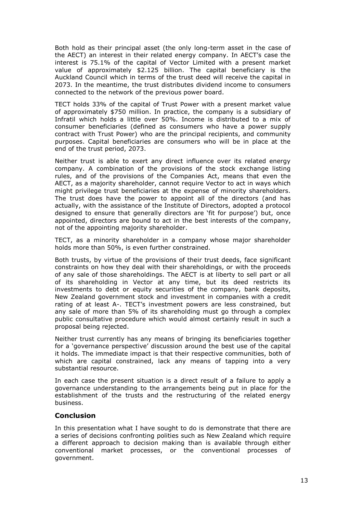Both hold as their principal asset (the only long-term asset in the case of the AECT) an interest in their related energy company. In AECT"s case the interest is 75.1% of the capital of Vector Limited with a present market value of approximately \$2.125 billion. The capital beneficiary is the Auckland Council which in terms of the trust deed will receive the capital in 2073. In the meantime, the trust distributes dividend income to consumers connected to the network of the previous power board.

TECT holds 33% of the capital of Trust Power with a present market value of approximately \$750 million. In practice, the company is a subsidiary of Infratil which holds a little over 50%. Income is distributed to a mix of consumer beneficiaries (defined as consumers who have a power supply contract with Trust Power) who are the principal recipients, and community purposes. Capital beneficiaries are consumers who will be in place at the end of the trust period, 2073.

Neither trust is able to exert any direct influence over its related energy company. A combination of the provisions of the stock exchange listing rules, and of the provisions of the Companies Act, means that even the AECT, as a majority shareholder, cannot require Vector to act in ways which might privilege trust beneficiaries at the expense of minority shareholders. The trust does have the power to appoint all of the directors (and has actually, with the assistance of the Institute of Directors, adopted a protocol designed to ensure that generally directors are 'fit for purpose') but, once appointed, directors are bound to act in the best interests of the company, not of the appointing majority shareholder.

TECT, as a minority shareholder in a company whose major shareholder holds more than 50%, is even further constrained.

Both trusts, by virtue of the provisions of their trust deeds, face significant constraints on how they deal with their shareholdings, or with the proceeds of any sale of those shareholdings. The AECT is at liberty to sell part or all of its shareholding in Vector at any time, but its deed restricts its investments to debt or equity securities of the company, bank deposits, New Zealand government stock and investment in companies with a credit rating of at least A-. TECT"s investment powers are less constrained, but any sale of more than 5% of its shareholding must go through a complex public consultative procedure which would almost certainly result in such a proposal being rejected.

Neither trust currently has any means of bringing its beneficiaries together for a "governance perspective" discussion around the best use of the capital it holds. The immediate impact is that their respective communities, both of which are capital constrained, lack any means of tapping into a very substantial resource.

In each case the present situation is a direct result of a failure to apply a governance understanding to the arrangements being put in place for the establishment of the trusts and the restructuring of the related energy business.

#### **Conclusion**

In this presentation what I have sought to do is demonstrate that there are a series of decisions confronting polities such as New Zealand which require a different approach to decision making than is available through either conventional market processes, or the conventional processes of government.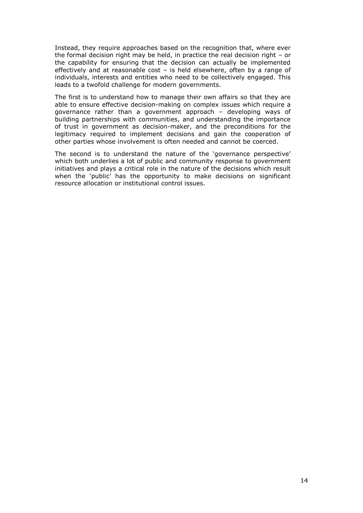Instead, they require approaches based on the recognition that, where ever the formal decision right may be held, in practice the real decision right – or the capability for ensuring that the decision can actually be implemented effectively and at reasonable cost – is held elsewhere, often by a range of individuals, interests and entities who need to be collectively engaged. This leads to a twofold challenge for modern governments.

The first is to understand how to manage their own affairs so that they are able to ensure effective decision-making on complex issues which require a governance rather than a government approach – developing ways of building partnerships with communities, and understanding the importance of trust in government as decision-maker, and the preconditions for the legitimacy required to implement decisions and gain the cooperation of other parties whose involvement is often needed and cannot be coerced.

The second is to understand the nature of the 'governance perspective' which both underlies a lot of public and community response to government initiatives and plays a critical role in the nature of the decisions which result when the 'public' has the opportunity to make decisions on significant resource allocation or institutional control issues.